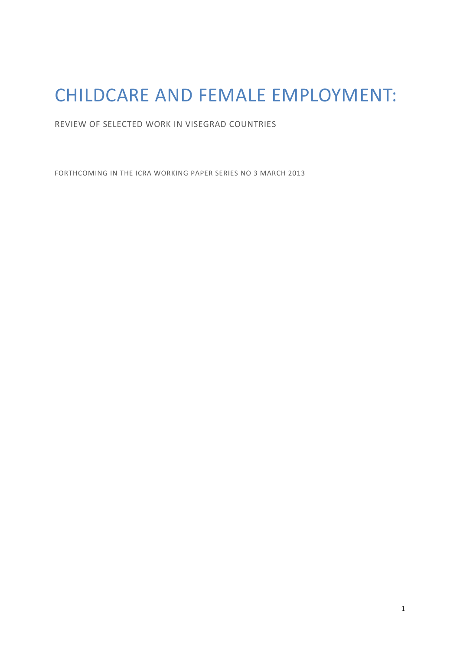# CHILDCARE AND FEMALE EMPLOYMENT:

REVIEW OF SELECTED WORK IN VISEGRAD COUNTRIES

FORTHCOMING IN THE ICRA WORKING PAPER SERIES NO 3 MARCH 2013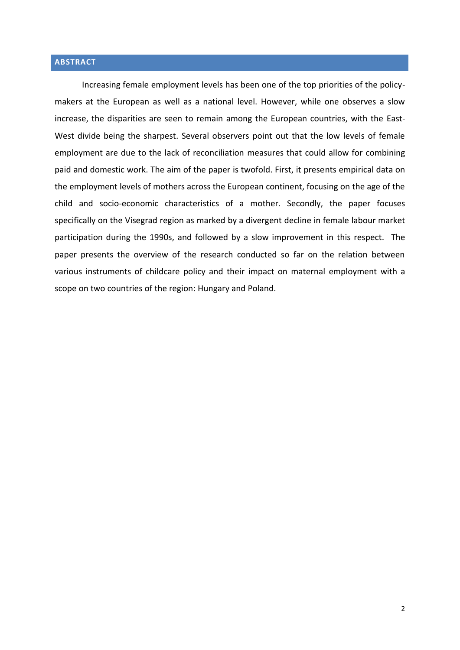## **ABSTRACT**

Increasing female employment levels has been one of the top priorities of the policymakers at the European as well as a national level. However, while one observes a slow increase, the disparities are seen to remain among the European countries, with the East-West divide being the sharpest. Several observers point out that the low levels of female employment are due to the lack of reconciliation measures that could allow for combining paid and domestic work. The aim of the paper is twofold. First, it presents empirical data on the employment levels of mothers across the European continent, focusing on the age of the child and socio-economic characteristics of a mother. Secondly, the paper focuses specifically on the Visegrad region as marked by a divergent decline in female labour market participation during the 1990s, and followed by a slow improvement in this respect. The paper presents the overview of the research conducted so far on the relation between various instruments of childcare policy and their impact on maternal employment with a scope on two countries of the region: Hungary and Poland.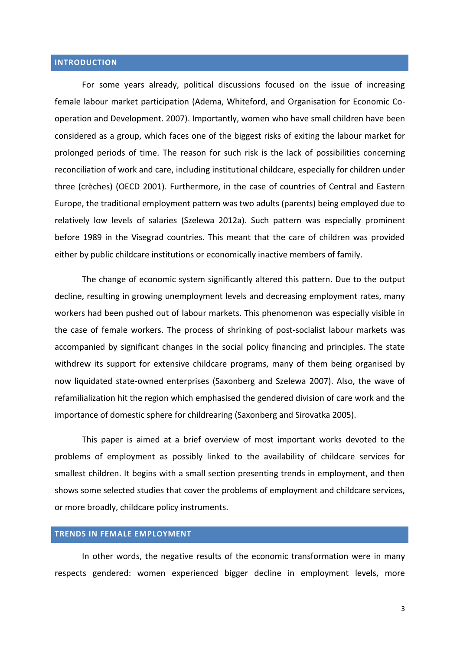#### **INTRODUCTION**

For some years already, political discussions focused on the issue of increasing female labour market participation (Adema, Whiteford, and Organisation for Economic Cooperation and Development. 2007). Importantly, women who have small children have been considered as a group, which faces one of the biggest risks of exiting the labour market for prolonged periods of time. The reason for such risk is the lack of possibilities concerning reconciliation of work and care, including institutional childcare, especially for children under three (crèches) (OECD 2001). Furthermore, in the case of countries of Central and Eastern Europe, the traditional employment pattern was two adults (parents) being employed due to relatively low levels of salaries (Szelewa 2012a). Such pattern was especially prominent before 1989 in the Visegrad countries. This meant that the care of children was provided either by public childcare institutions or economically inactive members of family.

The change of economic system significantly altered this pattern. Due to the output decline, resulting in growing unemployment levels and decreasing employment rates, many workers had been pushed out of labour markets. This phenomenon was especially visible in the case of female workers. The process of shrinking of post-socialist labour markets was accompanied by significant changes in the social policy financing and principles. The state withdrew its support for extensive childcare programs, many of them being organised by now liquidated state-owned enterprises (Saxonberg and Szelewa 2007). Also, the wave of refamilialization hit the region which emphasised the gendered division of care work and the importance of domestic sphere for childrearing (Saxonberg and Sirovatka 2005).

This paper is aimed at a brief overview of most important works devoted to the problems of employment as possibly linked to the availability of childcare services for smallest children. It begins with a small section presenting trends in employment, and then shows some selected studies that cover the problems of employment and childcare services, or more broadly, childcare policy instruments.

#### **TRENDS IN FEMALE EMPLOYMENT**

In other words, the negative results of the economic transformation were in many respects gendered: women experienced bigger decline in employment levels, more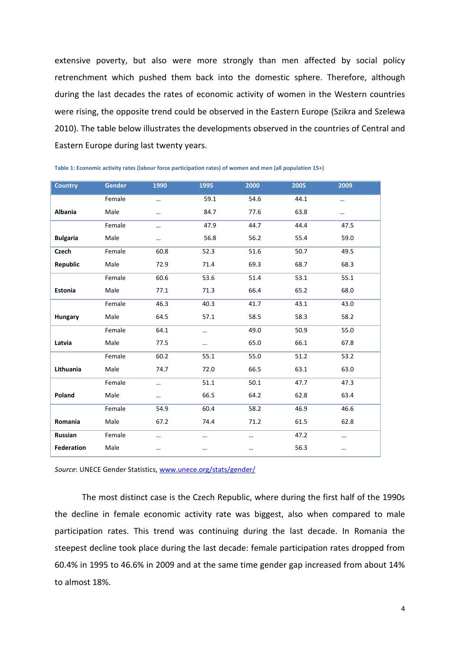extensive poverty, but also were more strongly than men affected by social policy retrenchment which pushed them back into the domestic sphere. Therefore, although during the last decades the rates of economic activity of women in the Western countries were rising, the opposite trend could be observed in the Eastern Europe (Szikra and Szelewa 2010). The table below illustrates the developments observed in the countries of Central and Eastern Europe during last twenty years.

| <b>Country</b>    | <b>Gender</b> | 1990 | 1995 | 2000 | 2005 | 2009     |  |
|-------------------|---------------|------|------|------|------|----------|--|
|                   | Female        |      | 59.1 | 54.6 | 44.1 |          |  |
| <b>Albania</b>    | Male          |      | 84.7 | 77.6 | 63.8 |          |  |
|                   | Female        |      | 47.9 | 44.7 | 44.4 | 47.5     |  |
| <b>Bulgaria</b>   | Male          |      | 56.8 | 56.2 | 55.4 | 59.0     |  |
| <b>Czech</b>      | Female        | 60.8 | 52.3 | 51.6 | 50.7 | 49.5     |  |
| Republic          | Male          | 72.9 | 71.4 | 69.3 | 68.7 | 68.3     |  |
|                   | Female        | 60.6 | 53.6 | 51.4 | 53.1 | 55.1     |  |
| <b>Estonia</b>    | Male          | 77.1 | 71.3 | 66.4 | 65.2 | 68.0     |  |
|                   | Female        | 46.3 | 40.3 | 41.7 | 43.1 | 43.0     |  |
| <b>Hungary</b>    | Male          | 64.5 | 57.1 | 58.5 | 58.3 | 58.2     |  |
|                   | Female        | 64.1 |      | 49.0 | 50.9 | 55.0     |  |
| Latvia            | Male          | 77.5 |      | 65.0 | 66.1 | 67.8     |  |
|                   | Female        | 60.2 | 55.1 | 55.0 | 51.2 | 53.2     |  |
| Lithuania         | Male          | 74.7 | 72.0 | 66.5 | 63.1 | 63.0     |  |
|                   | Female        |      | 51.1 | 50.1 | 47.7 | 47.3     |  |
| Poland            | Male          |      | 66.5 | 64.2 | 62.8 | 63.4     |  |
|                   | Female        | 54.9 | 60.4 | 58.2 | 46.9 | 46.6     |  |
| Romania           | Male          | 67.2 | 74.4 | 71.2 | 61.5 | 62.8     |  |
| Russian           | Female        |      |      |      | 47.2 |          |  |
| <b>Federation</b> | Male          |      |      |      | 56.3 | $\cdots$ |  |

| Table 1: Economic activity rates (labour force participation rates) of women and men (all population 15+) |  |  |  |
|-----------------------------------------------------------------------------------------------------------|--|--|--|
|-----------------------------------------------------------------------------------------------------------|--|--|--|

*Source*: UNECE Gender Statistics[, www.unece.org/stats/gender/](http://www.unece.org/stats/gender/)

The most distinct case is the Czech Republic, where during the first half of the 1990s the decline in female economic activity rate was biggest, also when compared to male participation rates. This trend was continuing during the last decade. In Romania the steepest decline took place during the last decade: female participation rates dropped from 60.4% in 1995 to 46.6% in 2009 and at the same time gender gap increased from about 14% to almost 18%.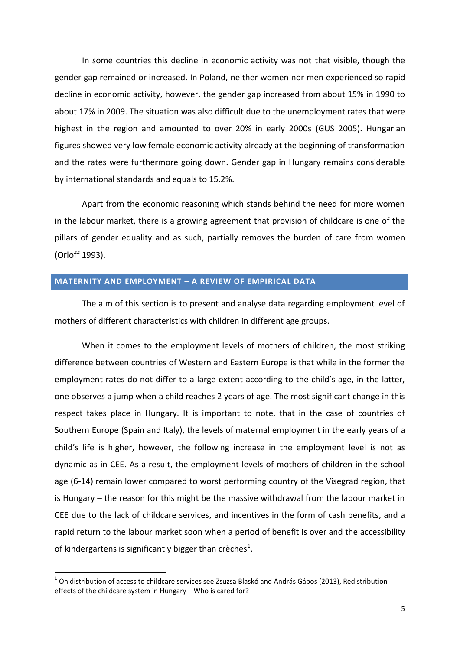In some countries this decline in economic activity was not that visible, though the gender gap remained or increased. In Poland, neither women nor men experienced so rapid decline in economic activity, however, the gender gap increased from about 15% in 1990 to about 17% in 2009. The situation was also difficult due to the unemployment rates that were highest in the region and amounted to over 20% in early 2000s (GUS 2005). Hungarian figures showed very low female economic activity already at the beginning of transformation and the rates were furthermore going down. Gender gap in Hungary remains considerable by international standards and equals to 15.2%.

Apart from the economic reasoning which stands behind the need for more women in the labour market, there is a growing agreement that provision of childcare is one of the pillars of gender equality and as such, partially removes the burden of care from women (Orloff 1993).

#### **MATERNITY AND EMPLOYMENT – A REVIEW OF EMPIRICAL DATA**

The aim of this section is to present and analyse data regarding employment level of mothers of different characteristics with children in different age groups.

When it comes to the employment levels of mothers of children, the most striking difference between countries of Western and Eastern Europe is that while in the former the employment rates do not differ to a large extent according to the child's age, in the latter, one observes a jump when a child reaches 2 years of age. The most significant change in this respect takes place in Hungary. It is important to note, that in the case of countries of Southern Europe (Spain and Italy), the levels of maternal employment in the early years of a child's life is higher, however, the following increase in the employment level is not as dynamic as in CEE. As a result, the employment levels of mothers of children in the school age (6-14) remain lower compared to worst performing country of the Visegrad region, that is Hungary – the reason for this might be the massive withdrawal from the labour market in CEE due to the lack of childcare services, and incentives in the form of cash benefits, and a rapid return to the labour market soon when a period of benefit is over and the accessibility of kindergartens is significantly bigger than crèches<sup>1</sup>.

**.** 

 $^1$  On distribution of access to childcare services see Zsuzsa Blaskó and András Gábos (2013), Redistribution effects of the childcare system in Hungary – Who is cared for?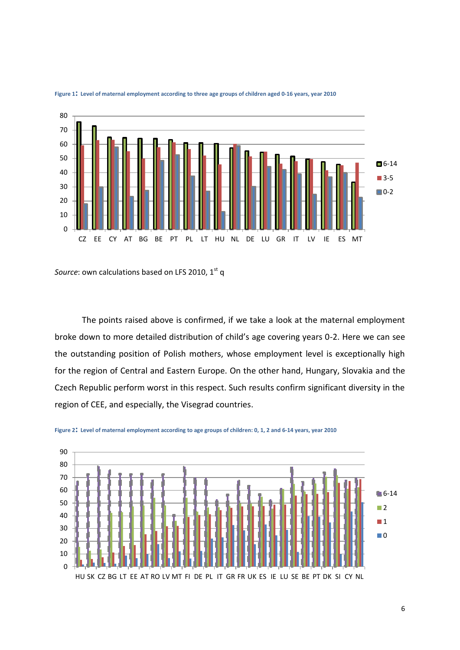

**Figure 1: Level of maternal employment according to three age groups of children aged 0-16 years, year 2010**

*Source*: own calculations based on LFS 2010, 1<sup>st</sup> q

The points raised above is confirmed, if we take a look at the maternal employment broke down to more detailed distribution of child's age covering years 0-2. Here we can see the outstanding position of Polish mothers, whose employment level is exceptionally high for the region of Central and Eastern Europe. On the other hand, Hungary, Slovakia and the Czech Republic perform worst in this respect. Such results confirm significant diversity in the region of CEE, and especially, the Visegrad countries.



**Figure 2: Level of maternal employment according to age groups of children: 0, 1, 2 and 6-14 years, year 2010**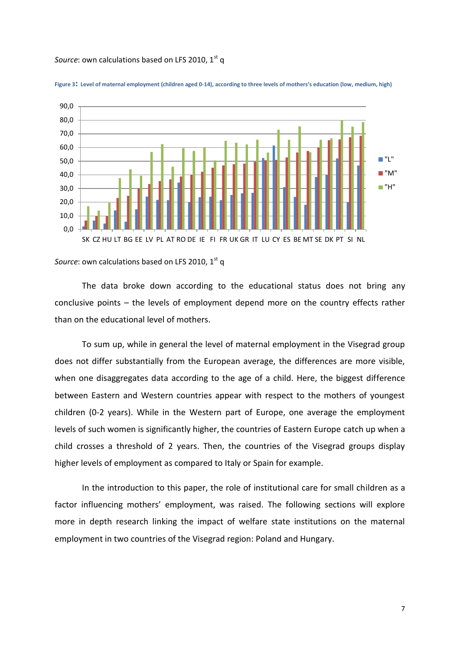#### *Source*: own calculations based on LFS 2010, 1<sup>st</sup> q





*Source*: own calculations based on LFS 2010, 1<sup>st</sup> q

The data broke down according to the educational status does not bring any conclusive points – the levels of employment depend more on the country effects rather than on the educational level of mothers.

To sum up, while in general the level of maternal employment in the Visegrad group does not differ substantially from the European average, the differences are more visible, when one disaggregates data according to the age of a child. Here, the biggest difference between Eastern and Western countries appear with respect to the mothers of youngest children (0-2 years). While in the Western part of Europe, one average the employment levels of such women is significantly higher, the countries of Eastern Europe catch up when a child crosses a threshold of 2 years. Then, the countries of the Visegrad groups display higher levels of employment as compared to Italy or Spain for example.

In the introduction to this paper, the role of institutional care for small children as a factor influencing mothers' employment, was raised. The following sections will explore more in depth research linking the impact of welfare state institutions on the maternal employment in two countries of the Visegrad region: Poland and Hungary.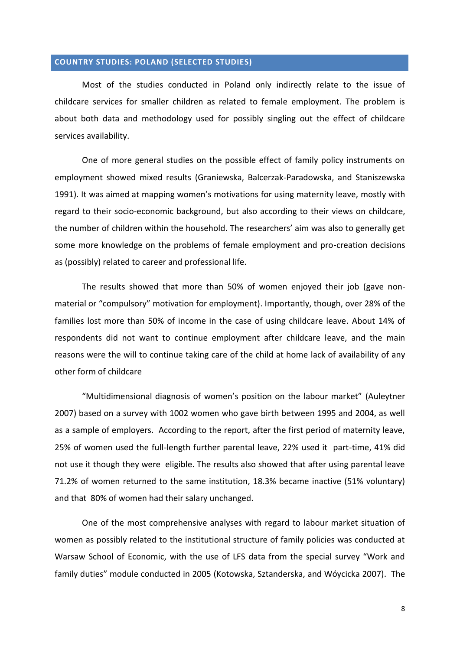## **COUNTRY STUDIES: POLAND (SELECTED STUDIES)**

Most of the studies conducted in Poland only indirectly relate to the issue of childcare services for smaller children as related to female employment. The problem is about both data and methodology used for possibly singling out the effect of childcare services availability.

One of more general studies on the possible effect of family policy instruments on employment showed mixed results (Graniewska, Balcerzak-Paradowska, and Staniszewska 1991). It was aimed at mapping women's motivations for using maternity leave, mostly with regard to their socio-economic background, but also according to their views on childcare, the number of children within the household. The researchers' aim was also to generally get some more knowledge on the problems of female employment and pro-creation decisions as (possibly) related to career and professional life.

The results showed that more than 50% of women enjoyed their job (gave nonmaterial or "compulsory" motivation for employment). Importantly, though, over 28% of the families lost more than 50% of income in the case of using childcare leave. About 14% of respondents did not want to continue employment after childcare leave, and the main reasons were the will to continue taking care of the child at home lack of availability of any other form of childcare

"Multidimensional diagnosis of women's position on the labour market" (Auleytner 2007) based on a survey with 1002 women who gave birth between 1995 and 2004, as well as a sample of employers. According to the report, after the first period of maternity leave, 25% of women used the full-length further parental leave, 22% used it part-time, 41% did not use it though they were eligible. The results also showed that after using parental leave 71.2% of women returned to the same institution, 18.3% became inactive (51% voluntary) and that 80% of women had their salary unchanged.

One of the most comprehensive analyses with regard to labour market situation of women as possibly related to the institutional structure of family policies was conducted at Warsaw School of Economic, with the use of LFS data from the special survey "Work and family duties" module conducted in 2005 (Kotowska, Sztanderska, and Wóycicka 2007). The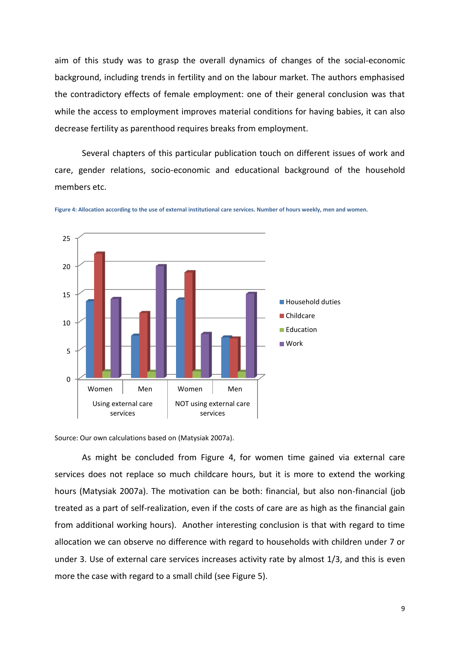aim of this study was to grasp the overall dynamics of changes of the social-economic background, including trends in fertility and on the labour market. The authors emphasised the contradictory effects of female employment: one of their general conclusion was that while the access to employment improves material conditions for having babies, it can also decrease fertility as parenthood requires breaks from employment.

Several chapters of this particular publication touch on different issues of work and care, gender relations, socio-economic and educational background of the household members etc.





Source: Our own calculations based on (Matysiak 2007a).

As might be concluded from Figure 4, for women time gained via external care services does not replace so much childcare hours, but it is more to extend the working hours (Matysiak 2007a). The motivation can be both: financial, but also non-financial (job treated as a part of self-realization, even if the costs of care are as high as the financial gain from additional working hours). Another interesting conclusion is that with regard to time allocation we can observe no difference with regard to households with children under 7 or under 3. Use of external care services increases activity rate by almost 1/3, and this is even more the case with regard to a small child (see Figure 5).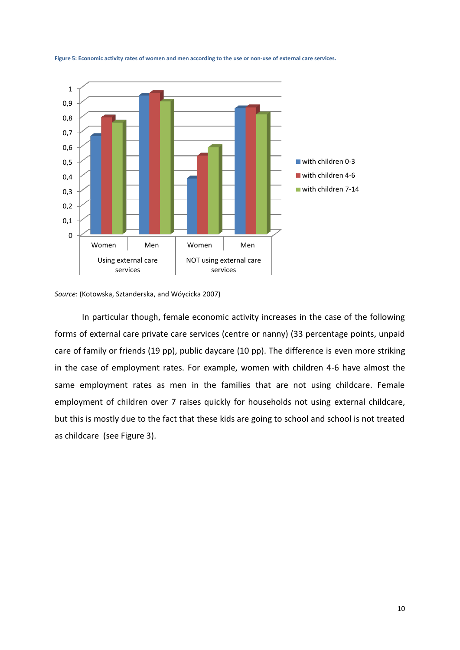

**Figure 5: Economic activity rates of women and men according to the use or non-use of external care services.** 

*Source*: (Kotowska, Sztanderska, and Wóycicka 2007)

In particular though, female economic activity increases in the case of the following forms of external care private care services (centre or nanny) (33 percentage points, unpaid care of family or friends (19 pp), public daycare (10 pp). The difference is even more striking in the case of employment rates. For example, women with children 4-6 have almost the same employment rates as men in the families that are not using childcare. Female employment of children over 7 raises quickly for households not using external childcare, but this is mostly due to the fact that these kids are going to school and school is not treated as childcare (see Figure 3).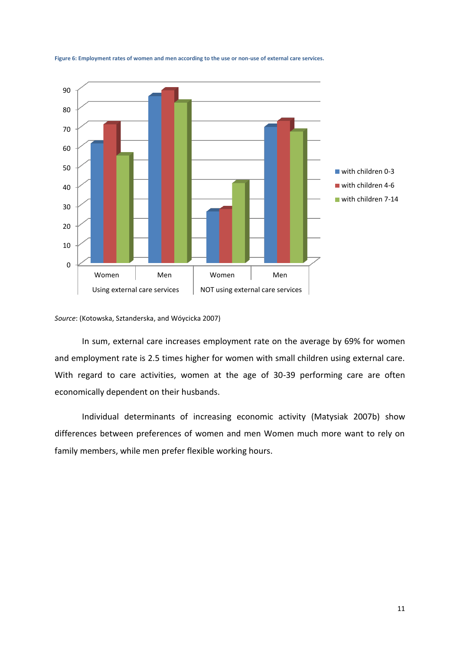

**Figure 6: Employment rates of women and men according to the use or non-use of external care services.**

*Source*: (Kotowska, Sztanderska, and Wóycicka 2007)

In sum, external care increases employment rate on the average by 69% for women and employment rate is 2.5 times higher for women with small children using external care. With regard to care activities, women at the age of 30-39 performing care are often economically dependent on their husbands.

Individual determinants of increasing economic activity (Matysiak 2007b) show differences between preferences of women and men Women much more want to rely on family members, while men prefer flexible working hours.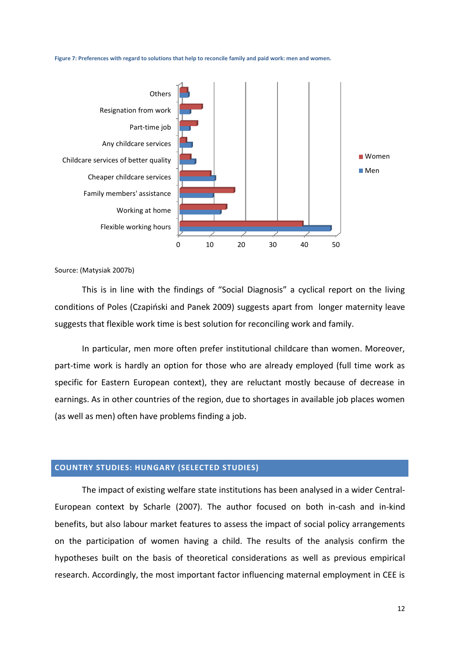



Source: (Matysiak 2007b)

This is in line with the findings of "Social Diagnosis" a cyclical report on the living conditions of Poles (Czapiński and Panek 2009) suggests apart from longer maternity leave suggests that flexible work time is best solution for reconciling work and family.

In particular, men more often prefer institutional childcare than women. Moreover, part-time work is hardly an option for those who are already employed (full time work as specific for Eastern European context), they are reluctant mostly because of decrease in earnings. As in other countries of the region, due to shortages in available job places women (as well as men) often have problems finding a job.

## **COUNTRY STUDIES: HUNGARY (SELECTED STUDIES)**

The impact of existing welfare state institutions has been analysed in a wider Central-European context by Scharle (2007). The author focused on both in-cash and in-kind benefits, but also labour market features to assess the impact of social policy arrangements on the participation of women having a child. The results of the analysis confirm the hypotheses built on the basis of theoretical considerations as well as previous empirical research. Accordingly, the most important factor influencing maternal employment in CEE is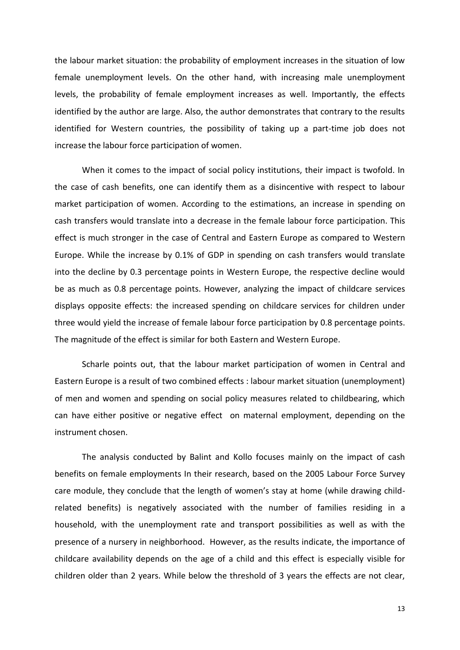the labour market situation: the probability of employment increases in the situation of low female unemployment levels. On the other hand, with increasing male unemployment levels, the probability of female employment increases as well. Importantly, the effects identified by the author are large. Also, the author demonstrates that contrary to the results identified for Western countries, the possibility of taking up a part-time job does not increase the labour force participation of women.

When it comes to the impact of social policy institutions, their impact is twofold. In the case of cash benefits, one can identify them as a disincentive with respect to labour market participation of women. According to the estimations, an increase in spending on cash transfers would translate into a decrease in the female labour force participation. This effect is much stronger in the case of Central and Eastern Europe as compared to Western Europe. While the increase by 0.1% of GDP in spending on cash transfers would translate into the decline by 0.3 percentage points in Western Europe, the respective decline would be as much as 0.8 percentage points. However, analyzing the impact of childcare services displays opposite effects: the increased spending on childcare services for children under three would yield the increase of female labour force participation by 0.8 percentage points. The magnitude of the effect is similar for both Eastern and Western Europe.

Scharle points out, that the labour market participation of women in Central and Eastern Europe is a result of two combined effects : labour market situation (unemployment) of men and women and spending on social policy measures related to childbearing, which can have either positive or negative effect on maternal employment, depending on the instrument chosen.

The analysis conducted by Balint and Kollo focuses mainly on the impact of cash benefits on female employments In their research, based on the 2005 Labour Force Survey care module, they conclude that the length of women's stay at home (while drawing childrelated benefits) is negatively associated with the number of families residing in a household, with the unemployment rate and transport possibilities as well as with the presence of a nursery in neighborhood. However, as the results indicate, the importance of childcare availability depends on the age of a child and this effect is especially visible for children older than 2 years. While below the threshold of 3 years the effects are not clear,

13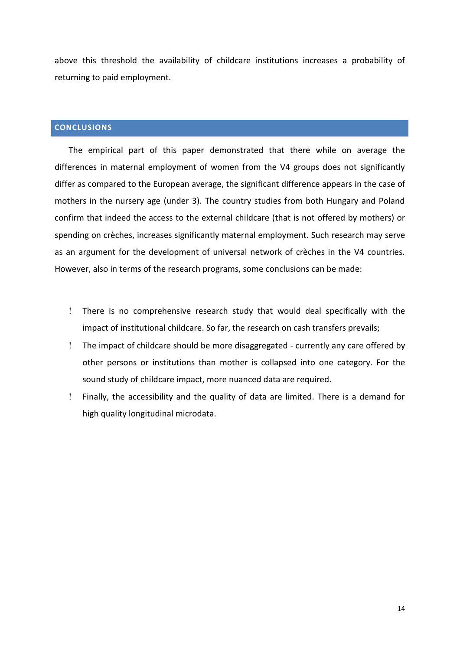above this threshold the availability of childcare institutions increases a probability of returning to paid employment.

# **CONCLUSIONS**

The empirical part of this paper demonstrated that there while on average the differences in maternal employment of women from the V4 groups does not significantly differ as compared to the European average, the significant difference appears in the case of mothers in the nursery age (under 3). The country studies from both Hungary and Poland confirm that indeed the access to the external childcare (that is not offered by mothers) or spending on crèches, increases significantly maternal employment. Such research may serve as an argument for the development of universal network of crèches in the V4 countries. However, also in terms of the research programs, some conclusions can be made:

- There is no comprehensive research study that would deal specifically with the impact of institutional childcare. So far, the research on cash transfers prevails;
- The impact of childcare should be more disaggregated currently any care offered by other persons or institutions than mother is collapsed into one category. For the sound study of childcare impact, more nuanced data are required.
- Finally, the accessibility and the quality of data are limited. There is a demand for high quality longitudinal microdata.